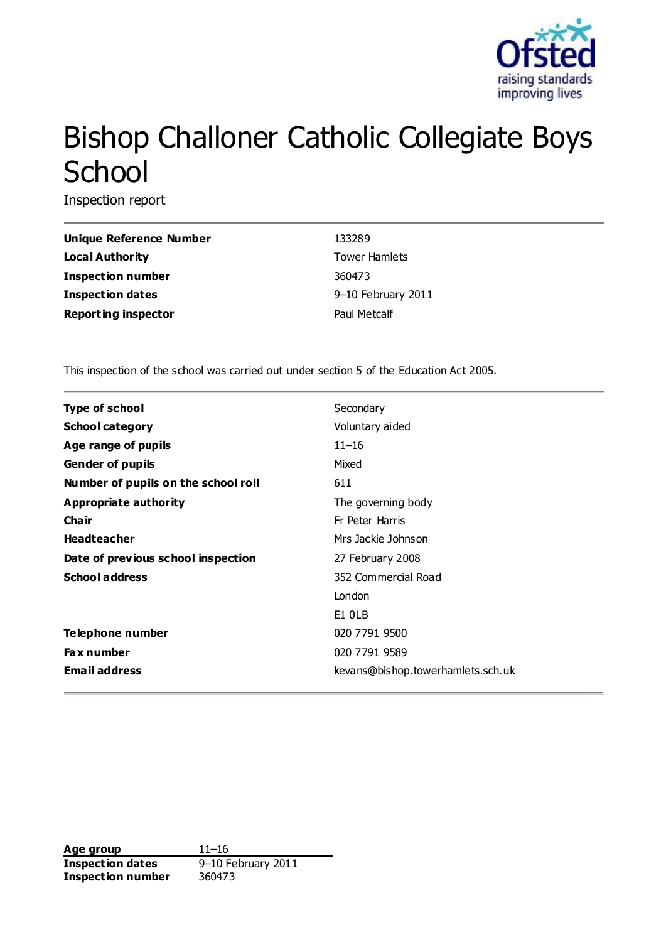

# Bishop Challoner Catholic Collegiate Boys **School**

Inspection report

| Unique Reference Number    | 133289               |
|----------------------------|----------------------|
| Local Authority            | <b>Tower Hamlets</b> |
| <b>Inspection number</b>   | 360473               |
| <b>Inspection dates</b>    | 9-10 February 2011   |
| <b>Reporting inspector</b> | Paul Metcalf         |

This inspection of the school was carried out under section 5 of the Education Act 2005.

| <b>Type of school</b>               | Secondary                         |
|-------------------------------------|-----------------------------------|
| <b>School category</b>              | Voluntary aided                   |
| Age range of pupils                 | $11 - 16$                         |
| <b>Gender of pupils</b>             | Mixed                             |
| Number of pupils on the school roll | 611                               |
| Appropriate authority               | The governing body                |
| Cha ir                              | Fr Peter Harris                   |
| <b>Headteacher</b>                  | Mrs Jackie Johnson                |
| Date of previous school inspection  | 27 February 2008                  |
| <b>School address</b>               | 352 Commercial Road               |
|                                     | London                            |
|                                     | E1 OLB                            |
| Telephone number                    | 020 7791 9500                     |
| <b>Fax number</b>                   | 020 7791 9589                     |
| <b>Email address</b>                | kevans@bishop.towerhamlets.sch.uk |

**Age group** 11–16 **Inspection dates** 9–10 February 2011 **Inspection number** 360473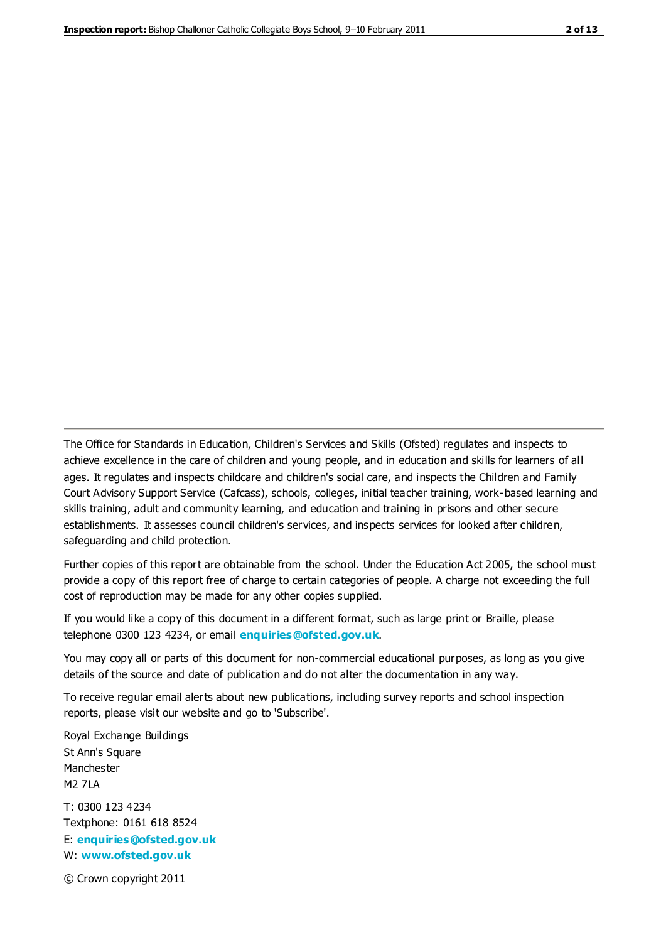The Office for Standards in Education, Children's Services and Skills (Ofsted) regulates and inspects to achieve excellence in the care of children and young people, and in education and skills for learners of all ages. It regulates and inspects childcare and children's social care, and inspects the Children and Family Court Advisory Support Service (Cafcass), schools, colleges, initial teacher training, work-based learning and skills training, adult and community learning, and education and training in prisons and other secure establishments. It assesses council children's services, and inspects services for looked after children, safeguarding and child protection.

Further copies of this report are obtainable from the school. Under the Education Act 2005, the school must provide a copy of this report free of charge to certain categories of people. A charge not exceeding the full cost of reproduction may be made for any other copies supplied.

If you would like a copy of this document in a different format, such as large print or Braille, please telephone 0300 123 4234, or email **[enquiries@ofsted.gov.uk](mailto:enquiries@ofsted.gov.uk)**.

You may copy all or parts of this document for non-commercial educational purposes, as long as you give details of the source and date of publication and do not alter the documentation in any way.

To receive regular email alerts about new publications, including survey reports and school inspection reports, please visit our website and go to 'Subscribe'.

Royal Exchange Buildings St Ann's Square Manchester M2 7LA T: 0300 123 4234 Textphone: 0161 618 8524 E: **[enquiries@ofsted.gov.uk](mailto:enquiries@ofsted.gov.uk)**

W: **[www.ofsted.gov.uk](http://www.ofsted.gov.uk/)**

© Crown copyright 2011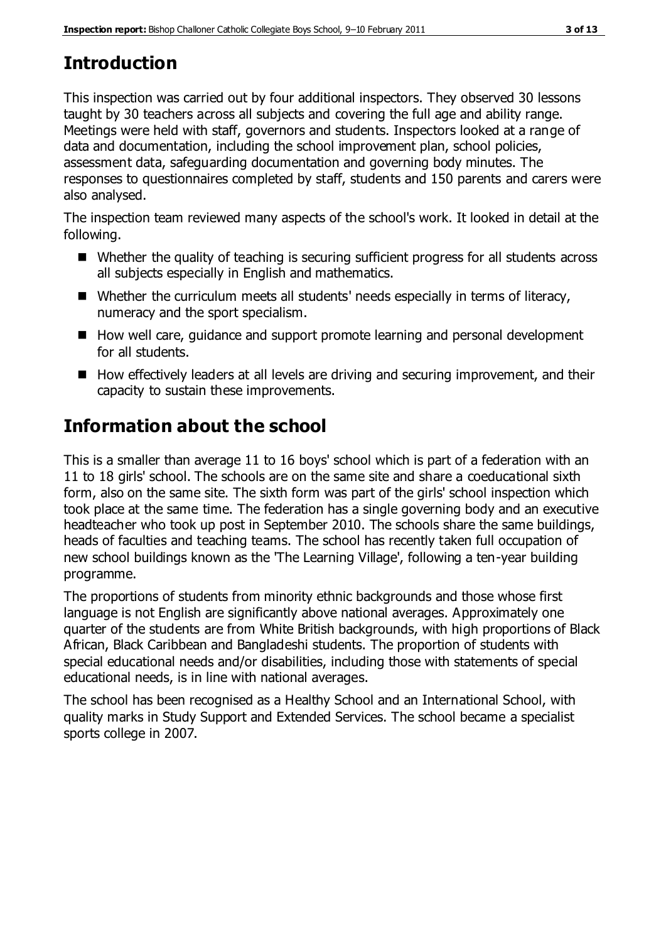# **Introduction**

This inspection was carried out by four additional inspectors. They observed 30 lessons taught by 30 teachers across all subjects and covering the full age and ability range. Meetings were held with staff, governors and students. Inspectors looked at a range of data and documentation, including the school improvement plan, school policies, assessment data, safeguarding documentation and governing body minutes. The responses to questionnaires completed by staff, students and 150 parents and carers were also analysed.

The inspection team reviewed many aspects of the school's work. It looked in detail at the following.

- Whether the quality of teaching is securing sufficient progress for all students across all subjects especially in English and mathematics.
- Whether the curriculum meets all students' needs especially in terms of literacy, numeracy and the sport specialism.
- How well care, guidance and support promote learning and personal development for all students.
- How effectively leaders at all levels are driving and securing improvement, and their capacity to sustain these improvements.

# **Information about the school**

This is a smaller than average 11 to 16 boys' school which is part of a federation with an 11 to 18 girls' school. The schools are on the same site and share a coeducational sixth form, also on the same site. The sixth form was part of the girls' school inspection which took place at the same time. The federation has a single governing body and an executive headteacher who took up post in September 2010. The schools share the same buildings, heads of faculties and teaching teams. The school has recently taken full occupation of new school buildings known as the 'The Learning Village', following a ten-year building programme.

The proportions of students from minority ethnic backgrounds and those whose first language is not English are significantly above national averages. Approximately one quarter of the students are from White British backgrounds, with high proportions of Black African, Black Caribbean and Bangladeshi students. The proportion of students with special educational needs and/or disabilities, including those with statements of special educational needs, is in line with national averages.

The school has been recognised as a Healthy School and an International School, with quality marks in Study Support and Extended Services. The school became a specialist sports college in 2007.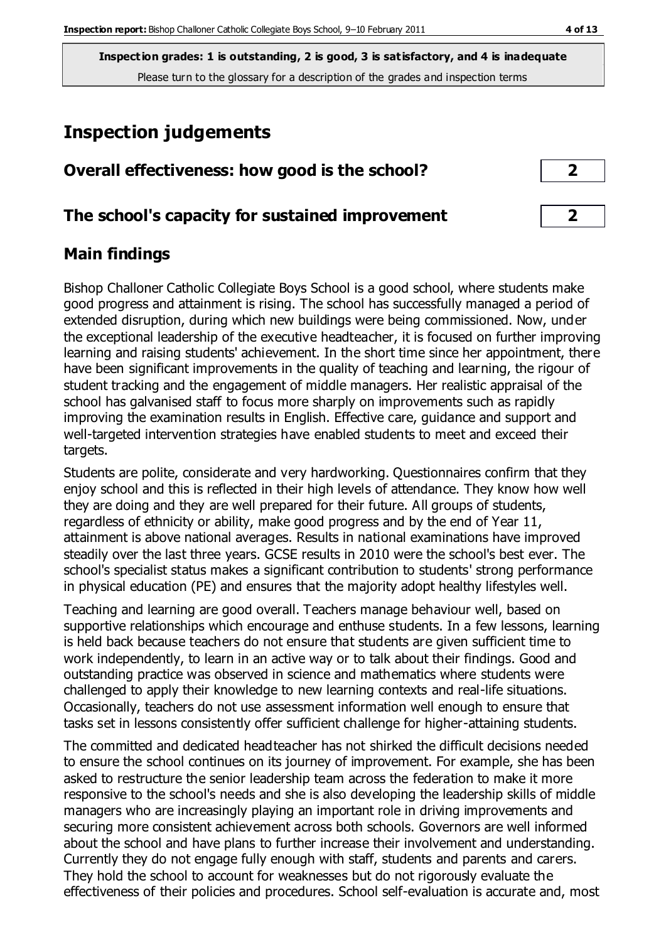# **Inspection judgements**

| Overall effectiveness: how good is the school? |  |
|------------------------------------------------|--|
|------------------------------------------------|--|

## **The school's capacity for sustained improvement 2**

# **Main findings**

Bishop Challoner Catholic Collegiate Boys School is a good school, where students make good progress and attainment is rising. The school has successfully managed a period of extended disruption, during which new buildings were being commissioned. Now, under the exceptional leadership of the executive headteacher, it is focused on further improving learning and raising students' achievement. In the short time since her appointment, there have been significant improvements in the quality of teaching and learning, the rigour of student tracking and the engagement of middle managers. Her realistic appraisal of the school has galvanised staff to focus more sharply on improvements such as rapidly improving the examination results in English. Effective care, guidance and support and well-targeted intervention strategies have enabled students to meet and exceed their targets.

Students are polite, considerate and very hardworking. Questionnaires confirm that they enjoy school and this is reflected in their high levels of attendance. They know how well they are doing and they are well prepared for their future. All groups of students, regardless of ethnicity or ability, make good progress and by the end of Year 11, attainment is above national averages. Results in national examinations have improved steadily over the last three years. GCSE results in 2010 were the school's best ever. The school's specialist status makes a significant contribution to students' strong performance in physical education (PE) and ensures that the majority adopt healthy lifestyles well.

Teaching and learning are good overall. Teachers manage behaviour well, based on supportive relationships which encourage and enthuse students. In a few lessons, learning is held back because teachers do not ensure that students are given sufficient time to work independently, to learn in an active way or to talk about their findings. Good and outstanding practice was observed in science and mathematics where students were challenged to apply their knowledge to new learning contexts and real-life situations. Occasionally, teachers do not use assessment information well enough to ensure that tasks set in lessons consistently offer sufficient challenge for higher-attaining students.

The committed and dedicated headteacher has not shirked the difficult decisions needed to ensure the school continues on its journey of improvement. For example, she has been asked to restructure the senior leadership team across the federation to make it more responsive to the school's needs and she is also developing the leadership skills of middle managers who are increasingly playing an important role in driving improvements and securing more consistent achievement across both schools. Governors are well informed about the school and have plans to further increase their involvement and understanding. Currently they do not engage fully enough with staff, students and parents and carers. They hold the school to account for weaknesses but do not rigorously evaluate the effectiveness of their policies and procedures. School self-evaluation is accurate and, most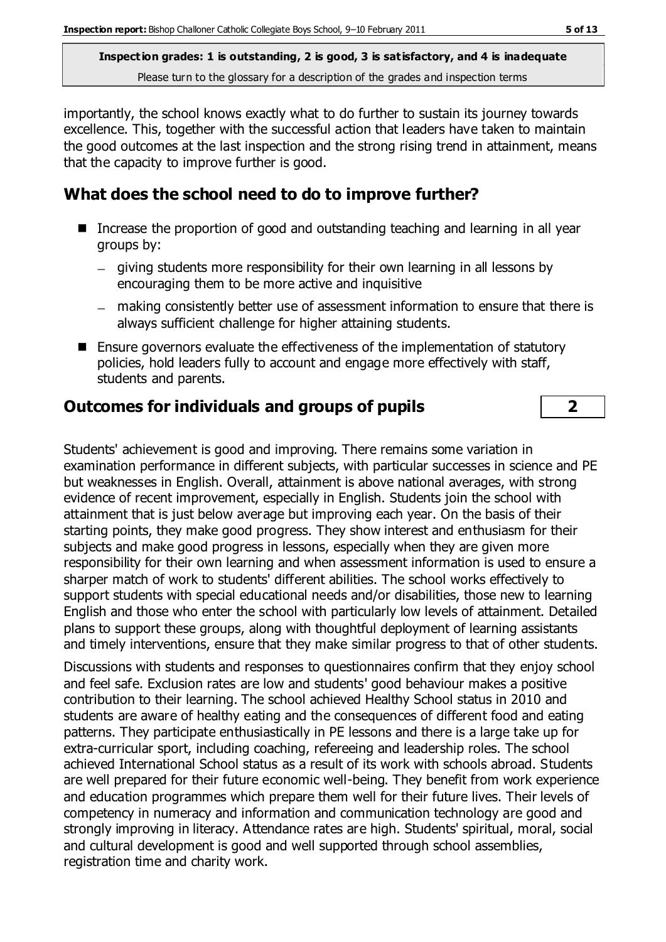importantly, the school knows exactly what to do further to sustain its journey towards excellence. This, together with the successful action that leaders have taken to maintain the good outcomes at the last inspection and the strong rising trend in attainment, means that the capacity to improve further is good.

# **What does the school need to do to improve further?**

- Increase the proportion of good and outstanding teaching and learning in all year groups by:
	- giving students more responsibility for their own learning in all lessons by encouraging them to be more active and inquisitive
	- making consistently better use of assessment information to ensure that there is always sufficient challenge for higher attaining students.
- Ensure governors evaluate the effectiveness of the implementation of statutory policies, hold leaders fully to account and engage more effectively with staff, students and parents.

## **Outcomes for individuals and groups of pupils 2**

Students' achievement is good and improving. There remains some variation in examination performance in different subjects, with particular successes in science and PE but weaknesses in English. Overall, attainment is above national averages, with strong evidence of recent improvement, especially in English. Students join the school with attainment that is just below average but improving each year. On the basis of their starting points, they make good progress. They show interest and enthusiasm for their subjects and make good progress in lessons, especially when they are given more responsibility for their own learning and when assessment information is used to ensure a sharper match of work to students' different abilities. The school works effectively to support students with special educational needs and/or disabilities, those new to learning English and those who enter the school with particularly low levels of attainment. Detailed plans to support these groups, along with thoughtful deployment of learning assistants and timely interventions, ensure that they make similar progress to that of other students.

Discussions with students and responses to questionnaires confirm that they enjoy school and feel safe. Exclusion rates are low and students' good behaviour makes a positive contribution to their learning. The school achieved Healthy School status in 2010 and students are aware of healthy eating and the consequences of different food and eating patterns. They participate enthusiastically in PE lessons and there is a large take up for extra-curricular sport, including coaching, refereeing and leadership roles. The school achieved International School status as a result of its work with schools abroad. Students are well prepared for their future economic well-being. They benefit from work experience and education programmes which prepare them well for their future lives. Their levels of competency in numeracy and information and communication technology are good and strongly improving in literacy. Attendance rates are high. Students' spiritual, moral, social and cultural development is good and well supported through school assemblies, registration time and charity work.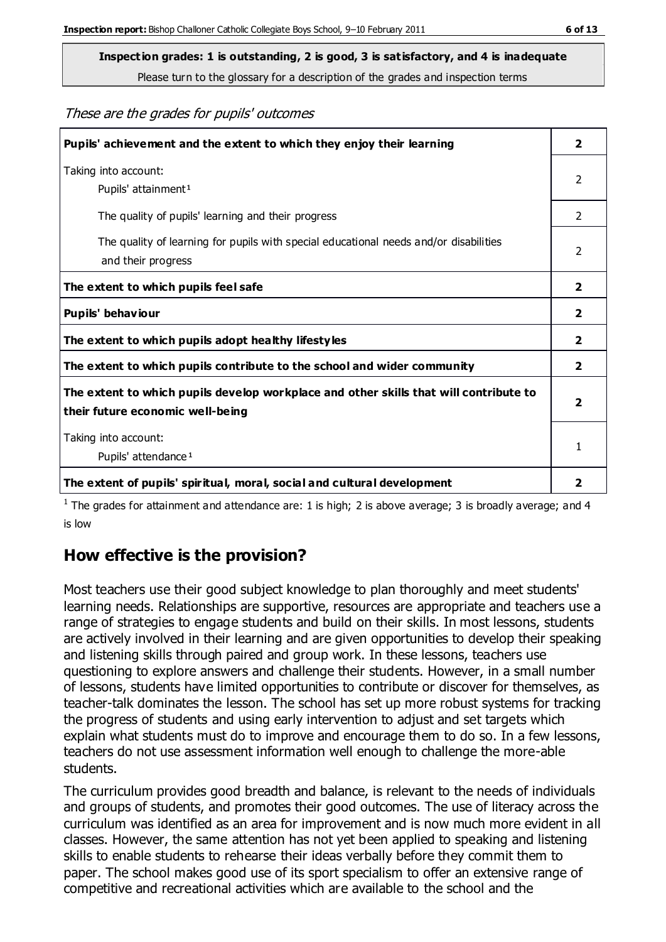**Inspection grades: 1 is outstanding, 2 is good, 3 is satisfactory, and 4 is inadequate**

Please turn to the glossary for a description of the grades and inspection terms

These are the grades for pupils' outcomes

| Pupils' achievement and the extent to which they enjoy their learning                                                     |                |
|---------------------------------------------------------------------------------------------------------------------------|----------------|
| Taking into account:<br>Pupils' attainment <sup>1</sup>                                                                   |                |
| The quality of pupils' learning and their progress                                                                        | $\overline{2}$ |
| The quality of learning for pupils with special educational needs and/or disabilities<br>and their progress               |                |
| The extent to which pupils feel safe                                                                                      | $\mathbf{2}$   |
| Pupils' behaviour                                                                                                         | $\mathbf{2}$   |
| The extent to which pupils adopt healthy lifestyles                                                                       |                |
| The extent to which pupils contribute to the school and wider community                                                   |                |
| The extent to which pupils develop workplace and other skills that will contribute to<br>their future economic well-being |                |
| Taking into account:<br>Pupils' attendance <sup>1</sup>                                                                   |                |
| The extent of pupils' spiritual, moral, social and cultural development                                                   | 2              |

<sup>1</sup> The grades for attainment and attendance are: 1 is high; 2 is above average; 3 is broadly average; and 4 is low

# **How effective is the provision?**

Most teachers use their good subject knowledge to plan thoroughly and meet students' learning needs. Relationships are supportive, resources are appropriate and teachers use a range of strategies to engage students and build on their skills. In most lessons, students are actively involved in their learning and are given opportunities to develop their speaking and listening skills through paired and group work. In these lessons, teachers use questioning to explore answers and challenge their students. However, in a small number of lessons, students have limited opportunities to contribute or discover for themselves, as teacher-talk dominates the lesson. The school has set up more robust systems for tracking the progress of students and using early intervention to adjust and set targets which explain what students must do to improve and encourage them to do so. In a few lessons, teachers do not use assessment information well enough to challenge the more-able students.

The curriculum provides good breadth and balance, is relevant to the needs of individuals and groups of students, and promotes their good outcomes. The use of literacy across the curriculum was identified as an area for improvement and is now much more evident in all classes. However, the same attention has not yet been applied to speaking and listening skills to enable students to rehearse their ideas verbally before they commit them to paper. The school makes good use of its sport specialism to offer an extensive range of competitive and recreational activities which are available to the school and the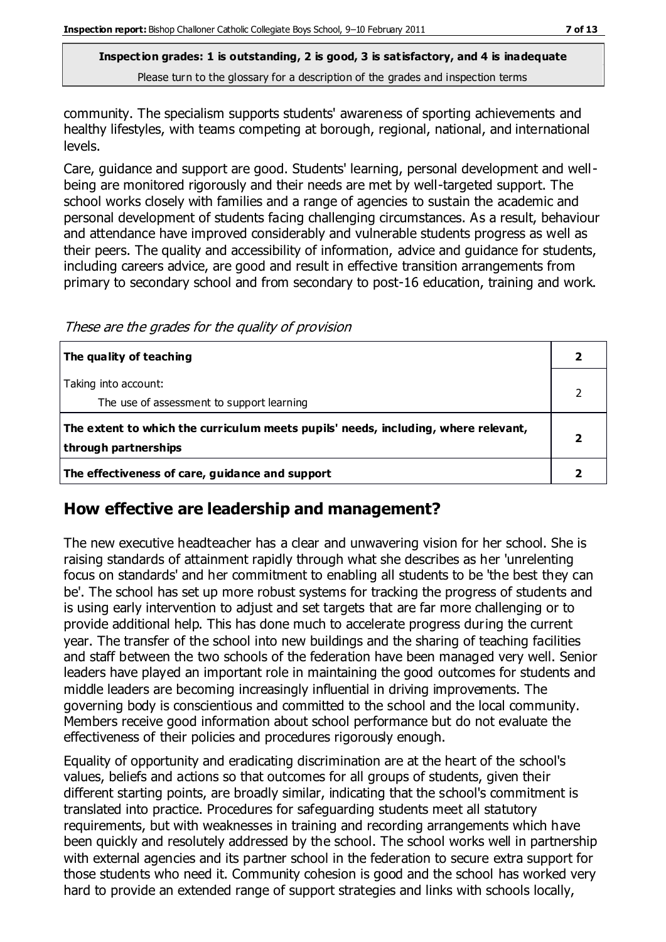community. The specialism supports students' awareness of sporting achievements and healthy lifestyles, with teams competing at borough, regional, national, and international levels.

Care, guidance and support are good. Students' learning, personal development and wellbeing are monitored rigorously and their needs are met by well-targeted support. The school works closely with families and a range of agencies to sustain the academic and personal development of students facing challenging circumstances. As a result, behaviour and attendance have improved considerably and vulnerable students progress as well as their peers. The quality and accessibility of information, advice and guidance for students, including careers advice, are good and result in effective transition arrangements from primary to secondary school and from secondary to post-16 education, training and work.

These are the grades for the quality of provision

| The quality of teaching                                                                                    |  |
|------------------------------------------------------------------------------------------------------------|--|
| Taking into account:<br>The use of assessment to support learning                                          |  |
| The extent to which the curriculum meets pupils' needs, including, where relevant,<br>through partnerships |  |
| The effectiveness of care, guidance and support                                                            |  |

#### **How effective are leadership and management?**

The new executive headteacher has a clear and unwavering vision for her school. She is raising standards of attainment rapidly through what she describes as her 'unrelenting focus on standards' and her commitment to enabling all students to be 'the best they can be'. The school has set up more robust systems for tracking the progress of students and is using early intervention to adjust and set targets that are far more challenging or to provide additional help. This has done much to accelerate progress during the current year. The transfer of the school into new buildings and the sharing of teaching facilities and staff between the two schools of the federation have been managed very well. Senior leaders have played an important role in maintaining the good outcomes for students and middle leaders are becoming increasingly influential in driving improvements. The governing body is conscientious and committed to the school and the local community. Members receive good information about school performance but do not evaluate the effectiveness of their policies and procedures rigorously enough.

Equality of opportunity and eradicating discrimination are at the heart of the school's values, beliefs and actions so that outcomes for all groups of students, given their different starting points, are broadly similar, indicating that the school's commitment is translated into practice. Procedures for safeguarding students meet all statutory requirements, but with weaknesses in training and recording arrangements which have been quickly and resolutely addressed by the school. The school works well in partnership with external agencies and its partner school in the federation to secure extra support for those students who need it. Community cohesion is good and the school has worked very hard to provide an extended range of support strategies and links with schools locally,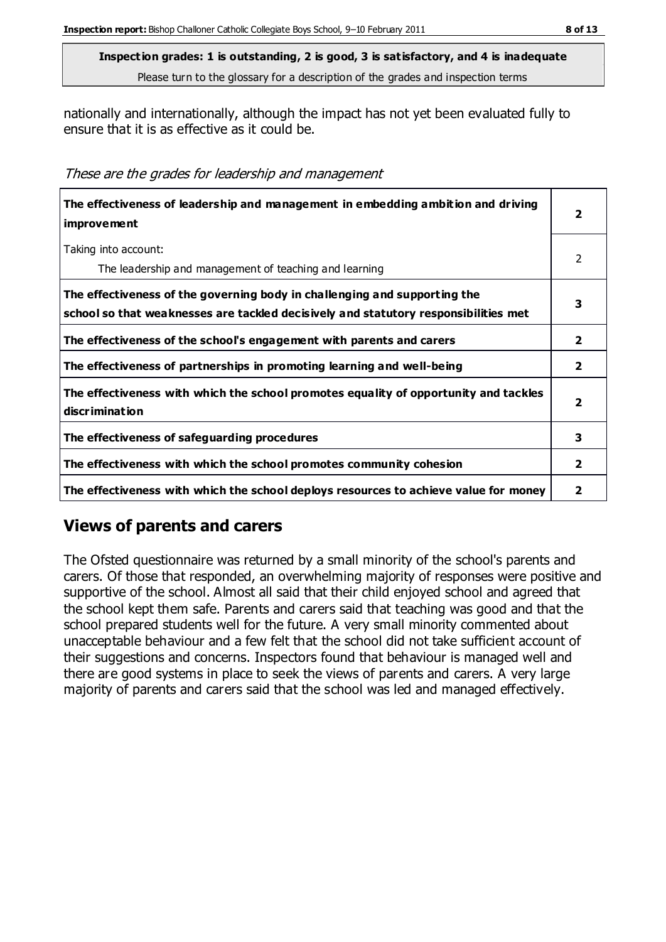nationally and internationally, although the impact has not yet been evaluated fully to ensure that it is as effective as it could be.

These are the grades for leadership and management

| The effectiveness of leadership and management in embedding ambition and driving<br>improvement                                                                  |                         |
|------------------------------------------------------------------------------------------------------------------------------------------------------------------|-------------------------|
| Taking into account:<br>The leadership and management of teaching and learning                                                                                   | 2                       |
| The effectiveness of the governing body in challenging and supporting the<br>school so that weaknesses are tackled decisively and statutory responsibilities met |                         |
| The effectiveness of the school's engagement with parents and carers                                                                                             | $\overline{\mathbf{2}}$ |
| The effectiveness of partnerships in promoting learning and well-being                                                                                           | $\overline{2}$          |
| The effectiveness with which the school promotes equality of opportunity and tackles<br>discrimination                                                           | 2                       |
| The effectiveness of safeguarding procedures                                                                                                                     | 3                       |
| The effectiveness with which the school promotes community cohesion                                                                                              |                         |
| The effectiveness with which the school deploys resources to achieve value for money                                                                             |                         |

# **Views of parents and carers**

The Ofsted questionnaire was returned by a small minority of the school's parents and carers. Of those that responded, an overwhelming majority of responses were positive and supportive of the school. Almost all said that their child enjoyed school and agreed that the school kept them safe. Parents and carers said that teaching was good and that the school prepared students well for the future. A very small minority commented about unacceptable behaviour and a few felt that the school did not take sufficient account of their suggestions and concerns. Inspectors found that behaviour is managed well and there are good systems in place to seek the views of parents and carers. A very large majority of parents and carers said that the school was led and managed effectively.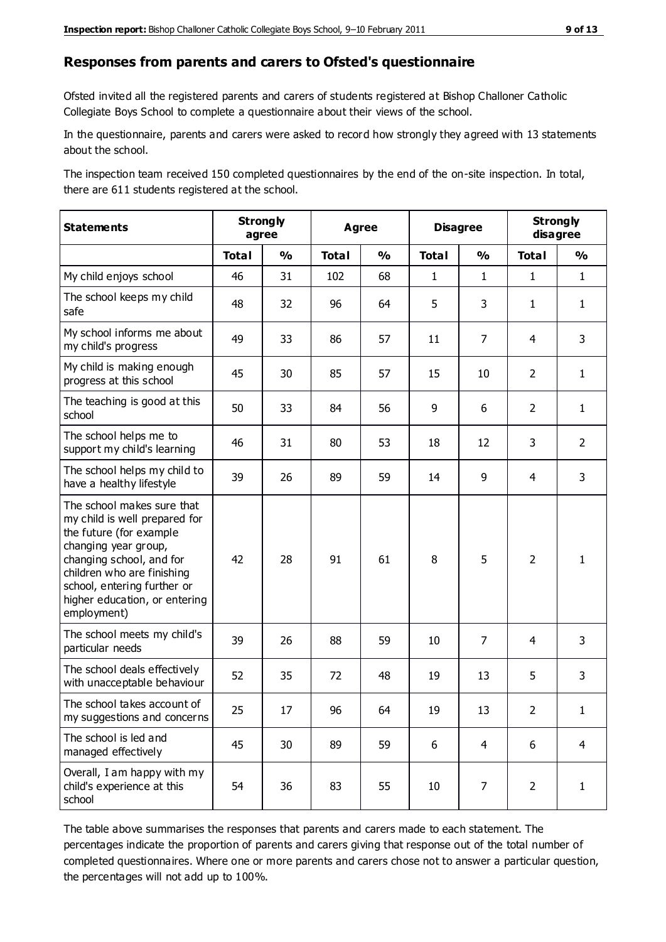#### **Responses from parents and carers to Ofsted's questionnaire**

Ofsted invited all the registered parents and carers of students registered at Bishop Challoner Catholic Collegiate Boys School to complete a questionnaire about their views of the school.

In the questionnaire, parents and carers were asked to record how strongly they agreed with 13 statements about the school.

The inspection team received 150 completed questionnaires by the end of the on-site inspection. In total, there are 611 students registered at the school.

| <b>Statements</b>                                                                                                                                                                                                                                       | <b>Strongly</b><br>agree |               | <b>Agree</b> |               | <b>Disagree</b> |                | <b>Strongly</b><br>disagree |                |
|---------------------------------------------------------------------------------------------------------------------------------------------------------------------------------------------------------------------------------------------------------|--------------------------|---------------|--------------|---------------|-----------------|----------------|-----------------------------|----------------|
|                                                                                                                                                                                                                                                         | <b>Total</b>             | $\frac{1}{2}$ | <b>Total</b> | $\frac{1}{2}$ | <b>Total</b>    | $\frac{1}{2}$  | <b>Total</b>                | $\frac{1}{2}$  |
| My child enjoys school                                                                                                                                                                                                                                  | 46                       | 31            | 102          | 68            | $\mathbf{1}$    | $\mathbf{1}$   | $\mathbf{1}$                | $\mathbf{1}$   |
| The school keeps my child<br>safe                                                                                                                                                                                                                       | 48                       | 32            | 96           | 64            | 5               | 3              | $\mathbf{1}$                | $\mathbf{1}$   |
| My school informs me about<br>my child's progress                                                                                                                                                                                                       | 49                       | 33            | 86           | 57            | 11              | 7              | 4                           | 3              |
| My child is making enough<br>progress at this school                                                                                                                                                                                                    | 45                       | 30            | 85           | 57            | 15              | 10             | $\overline{2}$              | $\mathbf{1}$   |
| The teaching is good at this<br>school                                                                                                                                                                                                                  | 50                       | 33            | 84           | 56            | 9               | 6              | $\overline{2}$              | $\mathbf{1}$   |
| The school helps me to<br>support my child's learning                                                                                                                                                                                                   | 46                       | 31            | 80           | 53            | 18              | 12             | 3                           | $\overline{2}$ |
| The school helps my child to<br>have a healthy lifestyle                                                                                                                                                                                                | 39                       | 26            | 89           | 59            | 14              | 9              | 4                           | 3              |
| The school makes sure that<br>my child is well prepared for<br>the future (for example<br>changing year group,<br>changing school, and for<br>children who are finishing<br>school, entering further or<br>higher education, or entering<br>employment) | 42                       | 28            | 91           | 61            | 8               | 5              | $\overline{2}$              | 1              |
| The school meets my child's<br>particular needs                                                                                                                                                                                                         | 39                       | 26            | 88           | 59            | 10              | 7              | $\overline{4}$              | 3              |
| The school deals effectively<br>with unacceptable behaviour                                                                                                                                                                                             | 52                       | 35            | 72           | 48            | 19              | 13             | 5                           | $\mathsf 3$    |
| The school takes account of<br>my suggestions and concerns                                                                                                                                                                                              | 25                       | 17            | 96           | 64            | 19              | 13             | $\overline{2}$              | 1              |
| The school is led and<br>managed effectively                                                                                                                                                                                                            | 45                       | 30            | 89           | 59            | 6               | $\overline{4}$ | 6                           | $\overline{4}$ |
| Overall, I am happy with my<br>child's experience at this<br>school                                                                                                                                                                                     | 54                       | 36            | 83           | 55            | 10              | $\overline{7}$ | $\overline{2}$              | $\mathbf 1$    |

The table above summarises the responses that parents and carers made to each statement. The percentages indicate the proportion of parents and carers giving that response out of the total number of completed questionnaires. Where one or more parents and carers chose not to answer a particular question, the percentages will not add up to 100%.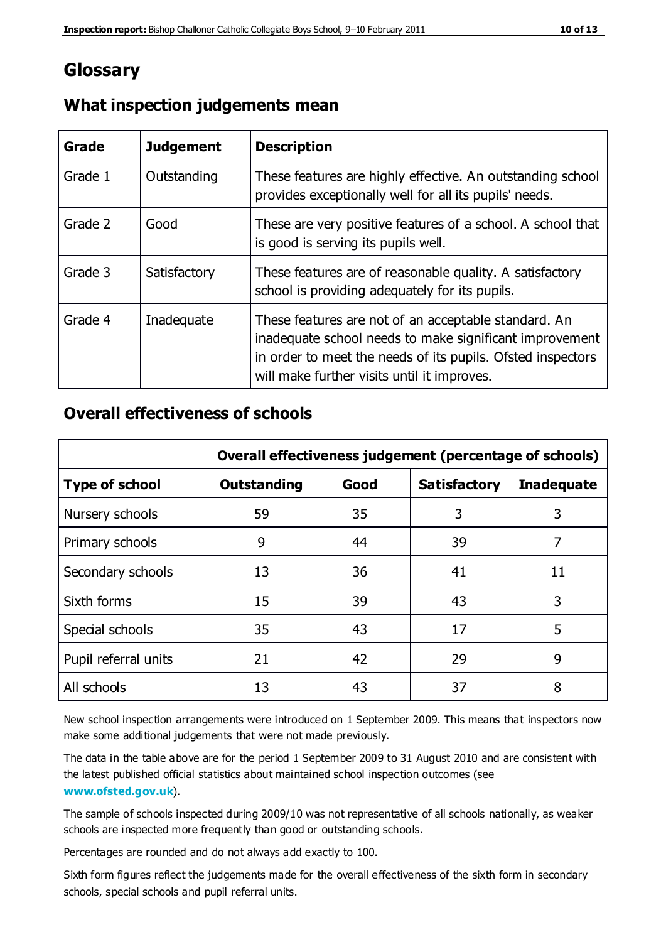# **Glossary**

| Grade   | <b>Judgement</b> | <b>Description</b>                                                                                                                                                                                                            |
|---------|------------------|-------------------------------------------------------------------------------------------------------------------------------------------------------------------------------------------------------------------------------|
| Grade 1 | Outstanding      | These features are highly effective. An outstanding school<br>provides exceptionally well for all its pupils' needs.                                                                                                          |
| Grade 2 | Good             | These are very positive features of a school. A school that<br>is good is serving its pupils well.                                                                                                                            |
| Grade 3 | Satisfactory     | These features are of reasonable quality. A satisfactory<br>school is providing adequately for its pupils.                                                                                                                    |
| Grade 4 | Inadequate       | These features are not of an acceptable standard. An<br>inadequate school needs to make significant improvement<br>in order to meet the needs of its pupils. Ofsted inspectors<br>will make further visits until it improves. |

## **What inspection judgements mean**

## **Overall effectiveness of schools**

|                       | Overall effectiveness judgement (percentage of schools) |      |                     |                   |
|-----------------------|---------------------------------------------------------|------|---------------------|-------------------|
| <b>Type of school</b> | <b>Outstanding</b>                                      | Good | <b>Satisfactory</b> | <b>Inadequate</b> |
| Nursery schools       | 59                                                      | 35   | 3                   | 3                 |
| Primary schools       | 9                                                       | 44   | 39                  | 7                 |
| Secondary schools     | 13                                                      | 36   | 41                  | 11                |
| Sixth forms           | 15                                                      | 39   | 43                  | 3                 |
| Special schools       | 35                                                      | 43   | 17                  | 5                 |
| Pupil referral units  | 21                                                      | 42   | 29                  | 9                 |
| All schools           | 13                                                      | 43   | 37                  | 8                 |

New school inspection arrangements were introduced on 1 September 2009. This means that inspectors now make some additional judgements that were not made previously.

The data in the table above are for the period 1 September 2009 to 31 August 2010 and are consistent with the latest published official statistics about maintained school inspec tion outcomes (see **[www.ofsted.gov.uk](http://www.ofsted.gov.uk/)**).

The sample of schools inspected during 2009/10 was not representative of all schools nationally, as weaker schools are inspected more frequently than good or outstanding schools.

Percentages are rounded and do not always add exactly to 100.

Sixth form figures reflect the judgements made for the overall effectiveness of the sixth form in secondary schools, special schools and pupil referral units.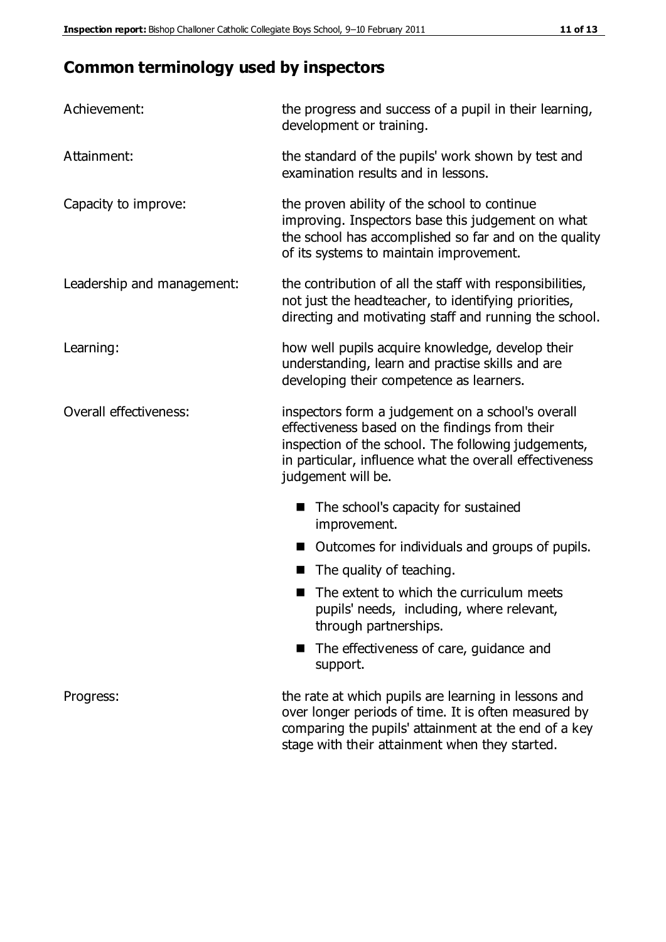# **Common terminology used by inspectors**

| Achievement:               | the progress and success of a pupil in their learning,<br>development or training.                                                                                                                                                          |
|----------------------------|---------------------------------------------------------------------------------------------------------------------------------------------------------------------------------------------------------------------------------------------|
| Attainment:                | the standard of the pupils' work shown by test and<br>examination results and in lessons.                                                                                                                                                   |
| Capacity to improve:       | the proven ability of the school to continue<br>improving. Inspectors base this judgement on what<br>the school has accomplished so far and on the quality<br>of its systems to maintain improvement.                                       |
| Leadership and management: | the contribution of all the staff with responsibilities,<br>not just the headteacher, to identifying priorities,<br>directing and motivating staff and running the school.                                                                  |
| Learning:                  | how well pupils acquire knowledge, develop their<br>understanding, learn and practise skills and are<br>developing their competence as learners.                                                                                            |
| Overall effectiveness:     | inspectors form a judgement on a school's overall<br>effectiveness based on the findings from their<br>inspection of the school. The following judgements,<br>in particular, influence what the overall effectiveness<br>judgement will be. |
|                            | The school's capacity for sustained<br>improvement.                                                                                                                                                                                         |
|                            | Outcomes for individuals and groups of pupils.                                                                                                                                                                                              |
|                            | The quality of teaching.                                                                                                                                                                                                                    |
|                            | The extent to which the curriculum meets<br>pupils' needs, including, where relevant,<br>through partnerships.                                                                                                                              |
|                            | The effectiveness of care, guidance and<br>support.                                                                                                                                                                                         |
| Progress:                  | the rate at which pupils are learning in lessons and<br>over longer periods of time. It is often measured by<br>comparing the pupils' attainment at the end of a key                                                                        |

stage with their attainment when they started.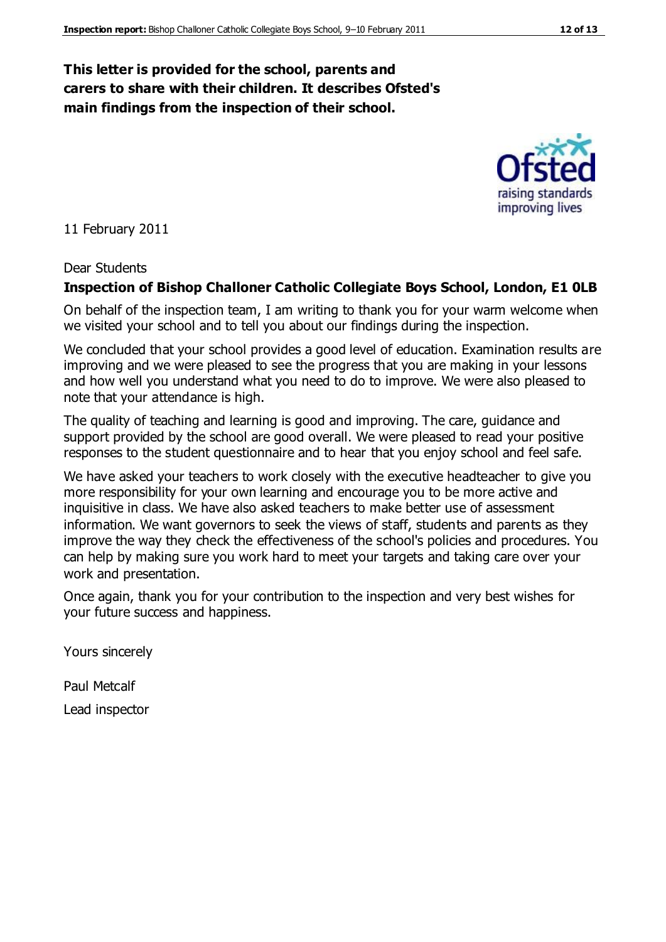### **This letter is provided for the school, parents and carers to share with their children. It describes Ofsted's main findings from the inspection of their school.**

11 February 2011

#### Dear Students

#### **Inspection of Bishop Challoner Catholic Collegiate Boys School, London, E1 0LB**

On behalf of the inspection team, I am writing to thank you for your warm welcome when we visited your school and to tell you about our findings during the inspection.

We concluded that your school provides a good level of education. Examination results are improving and we were pleased to see the progress that you are making in your lessons and how well you understand what you need to do to improve. We were also pleased to note that your attendance is high.

The quality of teaching and learning is good and improving. The care, guidance and support provided by the school are good overall. We were pleased to read your positive responses to the student questionnaire and to hear that you enjoy school and feel safe.

We have asked your teachers to work closely with the executive headteacher to give you more responsibility for your own learning and encourage you to be more active and inquisitive in class. We have also asked teachers to make better use of assessment information. We want governors to seek the views of staff, students and parents as they improve the way they check the effectiveness of the school's policies and procedures. You can help by making sure you work hard to meet your targets and taking care over your work and presentation.

Once again, thank you for your contribution to the inspection and very best wishes for your future success and happiness.

Yours sincerely

Paul Metcalf

Lead inspector